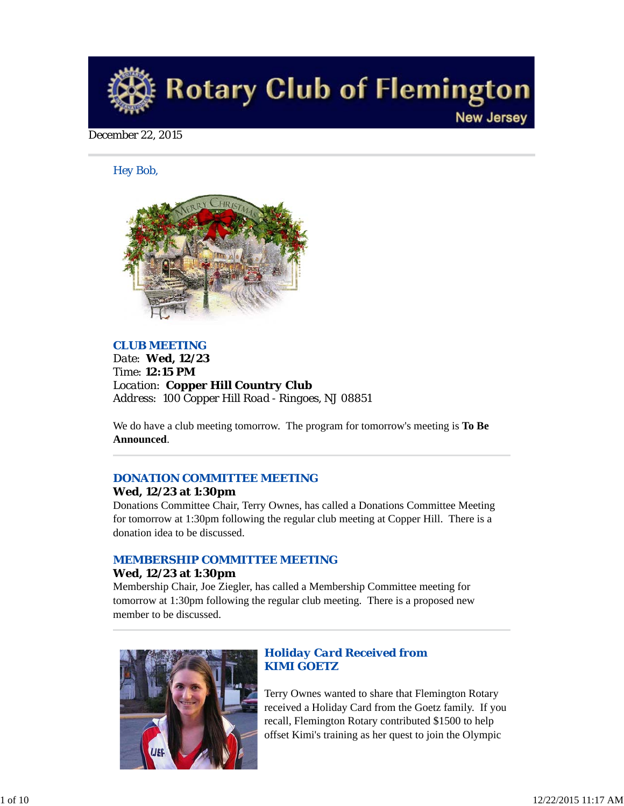

## December 22, 2015

*Hey Bob,* 



## *CLUB MEETING*

*Date: Wed, 12/23 Time: 12:15 PM Location: Copper Hill Country Club Address: 100 Copper Hill Road - Ringoes, NJ 08851*

We do have a club meeting tomorrow. The program for tomorrow's meeting is **To Be Announced**.

## *DONATION COMMITTEE MEETING*

#### **Wed, 12/23 at 1:30pm**

Donations Committee Chair, Terry Ownes, has called a Donations Committee Meeting for tomorrow at 1:30pm following the regular club meeting at Copper Hill. There is a donation idea to be discussed.

## *MEMBERSHIP COMMITTEE MEETING*

## **Wed, 12/23 at 1:30pm**

Membership Chair, Joe Ziegler, has called a Membership Committee meeting for tomorrow at 1:30pm following the regular club meeting. There is a proposed new member to be discussed.



## *Holiday Card Received from KIMI GOETZ*

Terry Ownes wanted to share that Flemington Rotary received a Holiday Card from the Goetz family. If you recall, Flemington Rotary contributed \$1500 to help offset Kimi's training as her quest to join the Olympic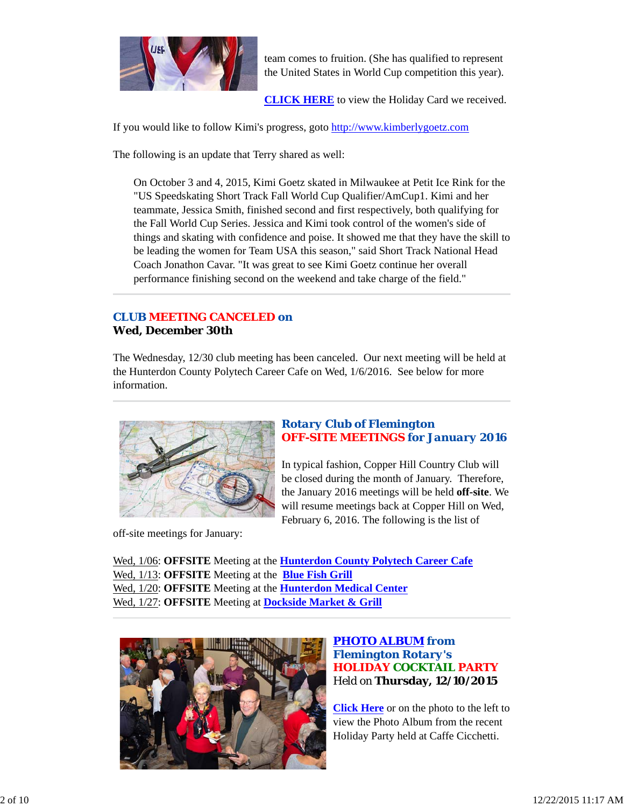

team comes to fruition. (She has qualified to represent the United States in World Cup competition this year).

**CLICK HERE** to view the Holiday Card we received.

If you would like to follow Kimi's progress, goto http://www.kimberlygoetz.com

The following is an update that Terry shared as well:

On October 3 and 4, 2015, Kimi Goetz skated in Milwaukee at Petit Ice Rink for the "US Speedskating Short Track Fall World Cup Qualifier/AmCup1. Kimi and her teammate, Jessica Smith, finished second and first respectively, both qualifying for the Fall World Cup Series. Jessica and Kimi took control of the women's side of things and skating with confidence and poise. It showed me that they have the skill to be leading the women for Team USA this season," said Short Track National Head Coach Jonathon Cavar. "It was great to see Kimi Goetz continue her overall performance finishing second on the weekend and take charge of the field."

## *CLUB MEETING CANCELED on* **Wed, December 30th**

The Wednesday, 12/30 club meeting has been canceled. Our next meeting will be held at the Hunterdon County Polytech Career Cafe on Wed, 1/6/2016. See below for more information.



## *Rotary Club of Flemington OFF-SITE MEETINGS for January 2016*

In typical fashion, Copper Hill Country Club will be closed during the month of January. Therefore, the January 2016 meetings will be held **off-site**. We will resume meetings back at Copper Hill on Wed, February 6, 2016. The following is the list of

off-site meetings for January:

Wed, 1/06: **OFFSITE** Meeting at the **Hunterdon County Polytech Career Cafe** Wed, 1/13: **OFFSITE** Meeting at the **Blue Fish Grill** Wed, 1/20: **OFFSITE** Meeting at the **Hunterdon Medical Center** Wed, 1/27: **OFFSITE** Meeting at **Dockside Market & Grill**



## *PHOTO ALBUM from Flemington Rotary's HOLIDAY COCKTAIL PARTY* Held on **Thursday, 12/10/2015**

**Click Here** or on the photo to the left to view the Photo Album from the recent Holiday Party held at Caffe Cicchetti.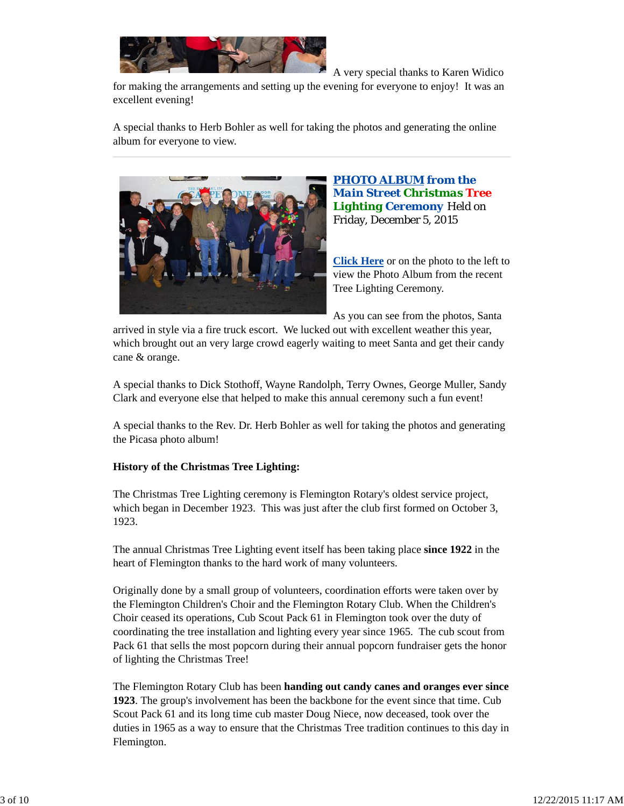

A very special thanks to Karen Widico

for making the arrangements and setting up the evening for everyone to enjoy! It was an excellent evening!

A special thanks to Herb Bohler as well for taking the photos and generating the online album for everyone to view.



*PHOTO ALBUM from the Main Street Christmas Tree Lighting Ceremony* Held on Friday, December 5, 2015

**Click Here** or on the photo to the left to view the Photo Album from the recent Tree Lighting Ceremony.

As you can see from the photos, Santa

arrived in style via a fire truck escort. We lucked out with excellent weather this year, which brought out an very large crowd eagerly waiting to meet Santa and get their candy cane & orange.

A special thanks to Dick Stothoff, Wayne Randolph, Terry Ownes, George Muller, Sandy Clark and everyone else that helped to make this annual ceremony such a fun event!

A special thanks to the Rev. Dr. Herb Bohler as well for taking the photos and generating the Picasa photo album!

## **History of the Christmas Tree Lighting:**

The Christmas Tree Lighting ceremony is Flemington Rotary's oldest service project, which began in December 1923. This was just after the club first formed on October 3, 1923.

The annual Christmas Tree Lighting event itself has been taking place **since 1922** in the heart of Flemington thanks to the hard work of many volunteers.

Originally done by a small group of volunteers, coordination efforts were taken over by the Flemington Children's Choir and the Flemington Rotary Club. When the Children's Choir ceased its operations, Cub Scout Pack 61 in Flemington took over the duty of coordinating the tree installation and lighting every year since 1965. The cub scout from Pack 61 that sells the most popcorn during their annual popcorn fundraiser gets the honor of lighting the Christmas Tree!

The Flemington Rotary Club has been **handing out candy canes and oranges ever since 1923**. The group's involvement has been the backbone for the event since that time. Cub Scout Pack 61 and its long time cub master Doug Niece, now deceased, took over the duties in 1965 as a way to ensure that the Christmas Tree tradition continues to this day in Flemington.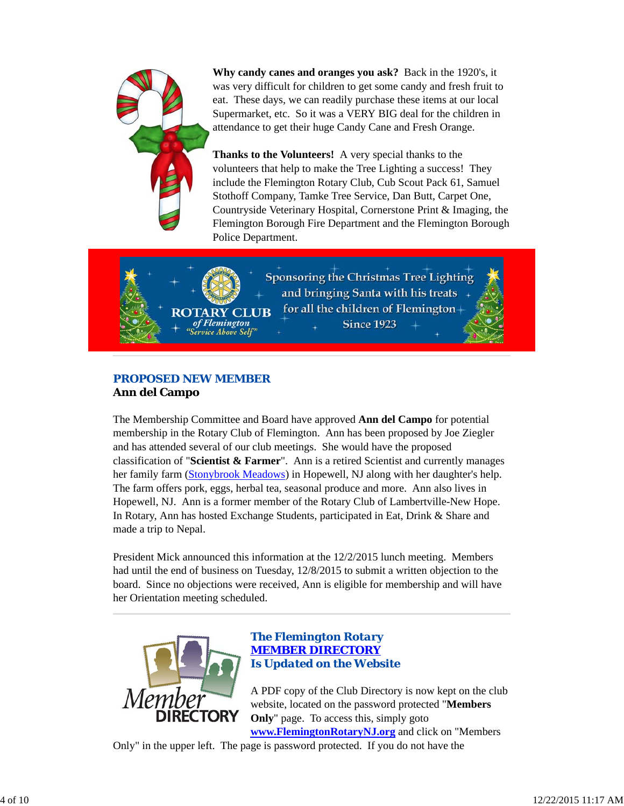

**Why candy canes and oranges you ask?** Back in the 1920's, it was very difficult for children to get some candy and fresh fruit to eat. These days, we can readily purchase these items at our local Supermarket, etc. So it was a VERY BIG deal for the children in attendance to get their huge Candy Cane and Fresh Orange.

**Thanks to the Volunteers!** A very special thanks to the volunteers that help to make the Tree Lighting a success! They include the Flemington Rotary Club, Cub Scout Pack 61, Samuel Stothoff Company, Tamke Tree Service, Dan Butt, Carpet One, Countryside Veterinary Hospital, Cornerstone Print & Imaging, the Flemington Borough Fire Department and the Flemington Borough Police Department.



## *PROPOSED NEW MEMBER* **Ann del Campo**

The Membership Committee and Board have approved **Ann del Campo** for potential membership in the Rotary Club of Flemington. Ann has been proposed by Joe Ziegler and has attended several of our club meetings. She would have the proposed classification of "**Scientist & Farmer**". Ann is a retired Scientist and currently manages her family farm (Stonybrook Meadows) in Hopewell, NJ along with her daughter's help. The farm offers pork, eggs, herbal tea, seasonal produce and more. Ann also lives in Hopewell, NJ. Ann is a former member of the Rotary Club of Lambertville-New Hope. In Rotary, Ann has hosted Exchange Students, participated in Eat, Drink & Share and made a trip to Nepal.

President Mick announced this information at the 12/2/2015 lunch meeting. Members had until the end of business on Tuesday, 12/8/2015 to submit a written objection to the board. Since no objections were received, Ann is eligible for membership and will have her Orientation meeting scheduled.



## *The Flemington Rotary MEMBER DIRECTORY Is Updated on the Website*

A PDF copy of the Club Directory is now kept on the club website, located on the password protected "**Members Only**" page. To access this, simply goto

**www.FlemingtonRotaryNJ.org** and click on "Members Only" in the upper left. The page is password protected. If you do not have the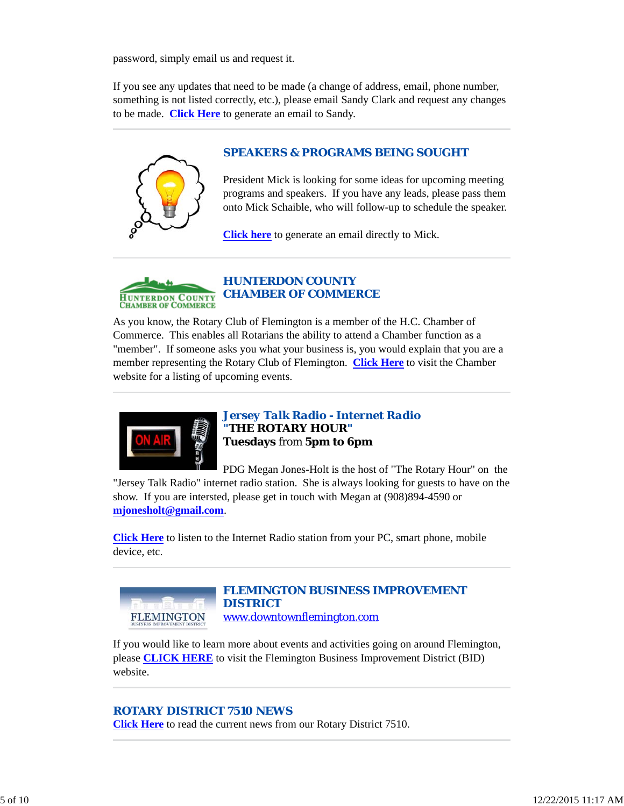password, simply email us and request it.

If you see any updates that need to be made (a change of address, email, phone number, something is not listed correctly, etc.), please email Sandy Clark and request any changes to be made. **Click Here** to generate an email to Sandy.



## *SPEAKERS & PROGRAMS BEING SOUGHT*

President Mick is looking for some ideas for upcoming meeting programs and speakers. If you have any leads, please pass them onto Mick Schaible, who will follow-up to schedule the speaker.

**Click here** to generate an email directly to Mick.



As you know, the Rotary Club of Flemington is a member of the H.C. Chamber of Commerce. This enables all Rotarians the ability to attend a Chamber function as a "member". If someone asks you what your business is, you would explain that you are a member representing the Rotary Club of Flemington. **Click Here** to visit the Chamber website for a listing of upcoming events.



*Jersey Talk Radio - Internet Radio "THE ROTARY HOUR"* **Tuesdays** from **5pm to 6pm**

PDG Megan Jones-Holt is the host of "The Rotary Hour" on the "Jersey Talk Radio" internet radio station. She is always looking for guests to have on the show. If you are intersted, please get in touch with Megan at (908)894-4590 or **mjonesholt@gmail.com**.

**Click Here** to listen to the Internet Radio station from your PC, smart phone, mobile device, etc.



## *FLEMINGTON BUSINESS IMPROVEMENT DISTRICT* www.downtownflemington.com

If you would like to learn more about events and activities going on around Flemington, please **CLICK HERE** to visit the Flemington Business Improvement District (BID) website.

## *ROTARY DISTRICT 7510 NEWS*

**Click Here** to read the current news from our Rotary District 7510.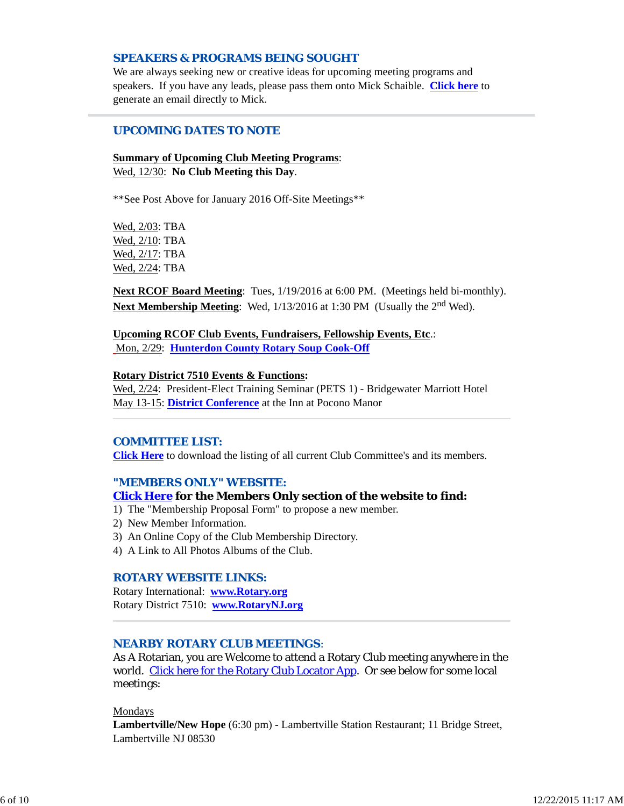## *SPEAKERS & PROGRAMS BEING SOUGHT*

We are always seeking new or creative ideas for upcoming meeting programs and speakers. If you have any leads, please pass them onto Mick Schaible. **Click here** to generate an email directly to Mick.

## *UPCOMING DATES TO NOTE*

## **Summary of Upcoming Club Meeting Programs**: Wed, 12/30: **No Club Meeting this Day**.

\*\*See Post Above for January 2016 Off-Site Meetings\*\*

Wed, 2/03: TBA Wed, 2/10: TBA Wed, 2/17: TBA Wed, 2/24: TBA

**Next RCOF Board Meeting**: Tues, 1/19/2016 at 6:00 PM. (Meetings held bi-monthly). **Next Membership Meeting**: Wed, 1/13/2016 at 1:30 PM (Usually the 2<sup>nd</sup> Wed).

#### **Upcoming RCOF Club Events, Fundraisers, Fellowship Events, Etc**.: Mon, 2/29: **Hunterdon County Rotary Soup Cook-Off**

#### **Rotary District 7510 Events & Functions:**

Wed, 2/24: President-Elect Training Seminar (PETS 1) - Bridgewater Marriott Hotel May 13-15: **District Conference** at the Inn at Pocono Manor

## *COMMITTEE LIST:*

**Click Here** to download the listing of all current Club Committee's and its members.

## *"MEMBERS ONLY" WEBSITE:*

#### **Click Here for the Members Only section of the website to find:**

- 1) The "Membership Proposal Form" to propose a new member.
- 2) New Member Information.
- 3) An Online Copy of the Club Membership Directory.
- 4) A Link to All Photos Albums of the Club.

## *ROTARY WEBSITE LINKS:*

Rotary International: **www.Rotary.org** Rotary District 7510: **www.RotaryNJ.org**

## *NEARBY ROTARY CLUB MEETINGS:*

As A Rotarian, you are Welcome to attend a Rotary Club meeting anywhere in the world. Click here for the Rotary Club Locator App. Or see below for some local meetings:

#### Mondays

**Lambertville/New Hope** (6:30 pm) - Lambertville Station Restaurant; 11 Bridge Street, Lambertville NJ 08530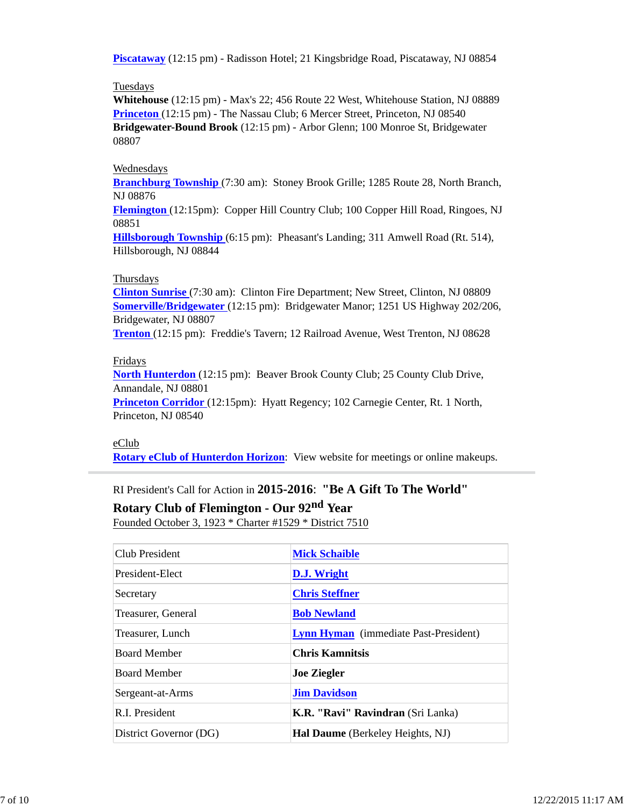**Piscataway** (12:15 pm) - Radisson Hotel; 21 Kingsbridge Road, Piscataway, NJ 08854

#### **Tuesdays**

**Whitehouse** (12:15 pm) - Max's 22; 456 Route 22 West, Whitehouse Station, NJ 08889 **Princeton** (12:15 pm) - The Nassau Club; 6 Mercer Street, Princeton, NJ 08540 **Bridgewater-Bound Brook** (12:15 pm) - Arbor Glenn; 100 Monroe St, Bridgewater 08807

## Wednesdays

**Branchburg Township** (7:30 am): Stoney Brook Grille; 1285 Route 28, North Branch, NJ 08876

**Flemington** (12:15pm): Copper Hill Country Club; 100 Copper Hill Road, Ringoes, NJ 08851

**Hillsborough Township** (6:15 pm): Pheasant's Landing; 311 Amwell Road (Rt. 514), Hillsborough, NJ 08844

#### Thursdays

**Clinton Sunrise** (7:30 am): Clinton Fire Department; New Street, Clinton, NJ 08809 **Somerville/Bridgewater** (12:15 pm): Bridgewater Manor; 1251 US Highway 202/206, Bridgewater, NJ 08807

**Trenton** (12:15 pm): Freddie's Tavern; 12 Railroad Avenue, West Trenton, NJ 08628

#### Fridays

**North Hunterdon** (12:15 pm): Beaver Brook County Club; 25 County Club Drive, Annandale, NJ 08801

**Princeton Corridor** (12:15pm): Hyatt Regency; 102 Carnegie Center, Rt. 1 North, Princeton, NJ 08540

## eClub

**Rotary eClub of Hunterdon Horizon**: View website for meetings or online makeups.

# RI President's Call for Action in **2015-2016**: **"Be A Gift To The World"**

**Rotary Club of Flemington - Our 92nd Year**

Founded October 3, 1923 \* Charter #1529 \* District 7510

| Club President         | <b>Mick Schaible</b>                         |
|------------------------|----------------------------------------------|
| President-Elect        | D.J. Wright                                  |
| Secretary              | <b>Chris Steffner</b>                        |
| Treasurer, General     | <b>Bob Newland</b>                           |
| Treasurer, Lunch       | <b>Lynn Hyman</b> (immediate Past-President) |
| <b>Board Member</b>    | <b>Chris Kamnitsis</b>                       |
| <b>Board Member</b>    | <b>Joe Ziegler</b>                           |
| Sergeant-at-Arms       | <b>Jim Davidson</b>                          |
| R.I. President         | K.R. "Ravi" Ravindran (Sri Lanka)            |
| District Governor (DG) | <b>Hal Daume</b> (Berkeley Heights, NJ)      |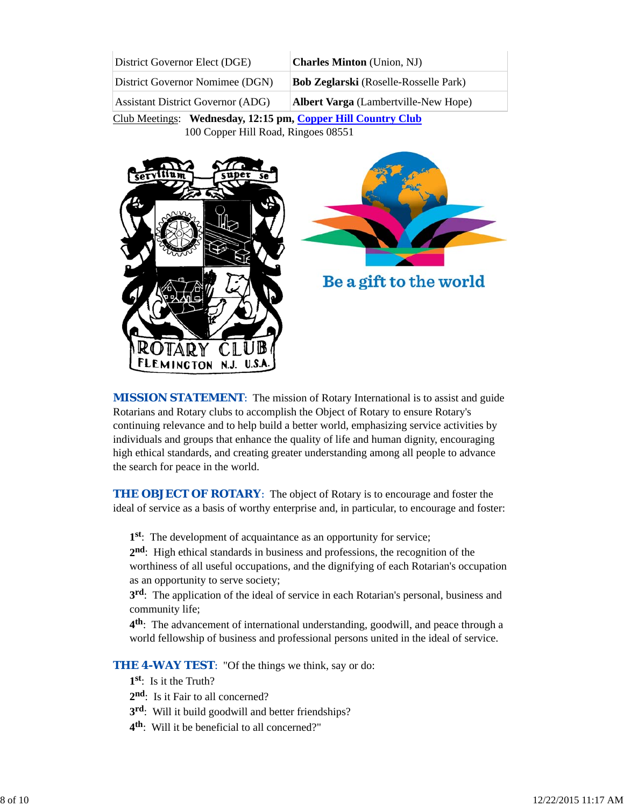| District Governor Elect (DGE)            | <b>Charles Minton</b> (Union, NJ)            |
|------------------------------------------|----------------------------------------------|
| District Governor Nomimee (DGN)          | <b>Bob Zeglarski</b> (Roselle-Rosselle Park) |
| <b>Assistant District Governor (ADG)</b> | <b>Albert Varga</b> (Lambertville-New Hope)  |

Club Meetings: **Wednesday, 12:15 pm, Copper Hill Country Club** 100 Copper Hill Road, Ringoes 08551



**MISSION STATEMENT:** The mission of Rotary International is to assist and guide Rotarians and Rotary clubs to accomplish the Object of Rotary to ensure Rotary's continuing relevance and to help build a better world, emphasizing service activities by individuals and groups that enhance the quality of life and human dignity, encouraging high ethical standards, and creating greater understanding among all people to advance the search for peace in the world.

**THE OBJECT OF ROTARY:** The object of Rotary is to encourage and foster the ideal of service as a basis of worthy enterprise and, in particular, to encourage and foster:

**1st**: The development of acquaintance as an opportunity for service;

**2nd**: High ethical standards in business and professions, the recognition of the worthiness of all useful occupations, and the dignifying of each Rotarian's occupation as an opportunity to serve society;

**3rd**: The application of the ideal of service in each Rotarian's personal, business and community life;

**4th**: The advancement of international understanding, goodwill, and peace through a world fellowship of business and professional persons united in the ideal of service.

**THE 4-WAY TEST:** "Of the things we think, say or do:

- **1st**: Is it the Truth?
- 2<sup>nd</sup>: Is it Fair to all concerned?
- **3rd**: Will it build goodwill and better friendships?
- **4th**: Will it be beneficial to all concerned?"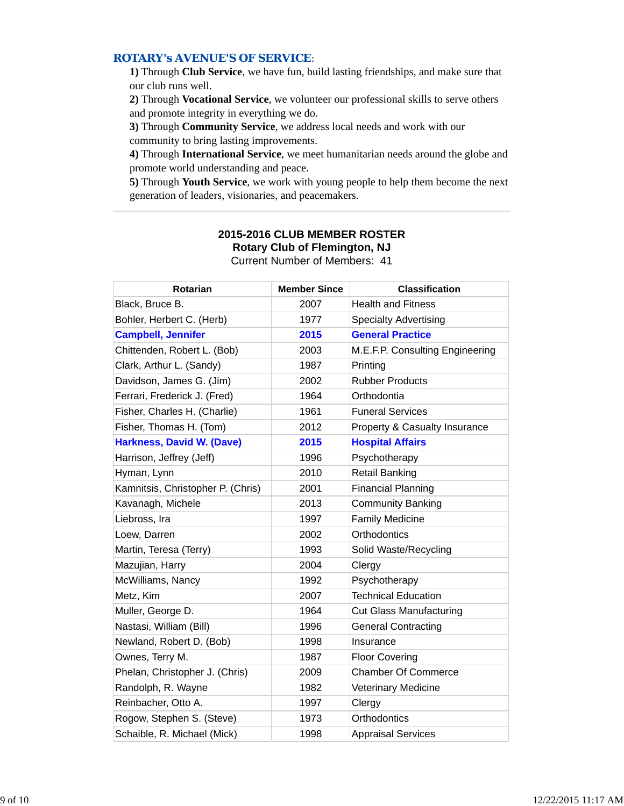## *ROTARY's AVENUE'S OF SERVICE*:

**1)** Through **Club Service**, we have fun, build lasting friendships, and make sure that our club runs well.

**2)** Through **Vocational Service**, we volunteer our professional skills to serve others and promote integrity in everything we do.

**3)** Through **Community Service**, we address local needs and work with our community to bring lasting improvements.

**4)** Through **International Service**, we meet humanitarian needs around the globe and promote world understanding and peace.

**5)** Through **Youth Service**, we work with young people to help them become the next generation of leaders, visionaries, and peacemakers.

| Rotarian                          | <b>Member Since</b> | <b>Classification</b>                    |
|-----------------------------------|---------------------|------------------------------------------|
| Black, Bruce B.                   | 2007                | <b>Health and Fitness</b>                |
| Bohler, Herbert C. (Herb)         | 1977                | <b>Specialty Advertising</b>             |
| <b>Campbell, Jennifer</b>         | 2015                | <b>General Practice</b>                  |
| Chittenden, Robert L. (Bob)       | 2003                | M.E.F.P. Consulting Engineering          |
| Clark, Arthur L. (Sandy)          | 1987                | Printing                                 |
| Davidson, James G. (Jim)          | 2002                | <b>Rubber Products</b>                   |
| Ferrari, Frederick J. (Fred)      | 1964                | Orthodontia                              |
| Fisher, Charles H. (Charlie)      | 1961                | <b>Funeral Services</b>                  |
| Fisher, Thomas H. (Tom)           | 2012                | <b>Property &amp; Casualty Insurance</b> |
| <b>Harkness, David W. (Dave)</b>  | 2015                | <b>Hospital Affairs</b>                  |
| Harrison, Jeffrey (Jeff)          | 1996                | Psychotherapy                            |
| Hyman, Lynn                       | 2010                | <b>Retail Banking</b>                    |
| Kamnitsis, Christopher P. (Chris) | 2001                | <b>Financial Planning</b>                |
| Kavanagh, Michele                 | 2013                | <b>Community Banking</b>                 |
| Liebross, Ira                     | 1997                | <b>Family Medicine</b>                   |
| Loew, Darren                      | 2002                | Orthodontics                             |
| Martin, Teresa (Terry)            | 1993                | Solid Waste/Recycling                    |
| Mazujian, Harry                   | 2004                | Clergy                                   |
| McWilliams, Nancy                 | 1992                | Psychotherapy                            |
| Metz, Kim                         | 2007                | <b>Technical Education</b>               |
| Muller, George D.                 | 1964                | <b>Cut Glass Manufacturing</b>           |
| Nastasi, William (Bill)           | 1996                | <b>General Contracting</b>               |
| Newland, Robert D. (Bob)          | 1998                | Insurance                                |
| Ownes, Terry M.                   | 1987                | <b>Floor Covering</b>                    |
| Phelan, Christopher J. (Chris)    | 2009                | <b>Chamber Of Commerce</b>               |
| Randolph, R. Wayne                | 1982                | <b>Veterinary Medicine</b>               |
| Reinbacher, Otto A.               | 1997                | Clergy                                   |
| Rogow, Stephen S. (Steve)         | 1973                | Orthodontics                             |
| Schaible, R. Michael (Mick)       | 1998                | <b>Appraisal Services</b>                |

## **2015-2016 CLUB MEMBER ROSTER Rotary Club of Flemington, NJ** Current Number of Members: 41